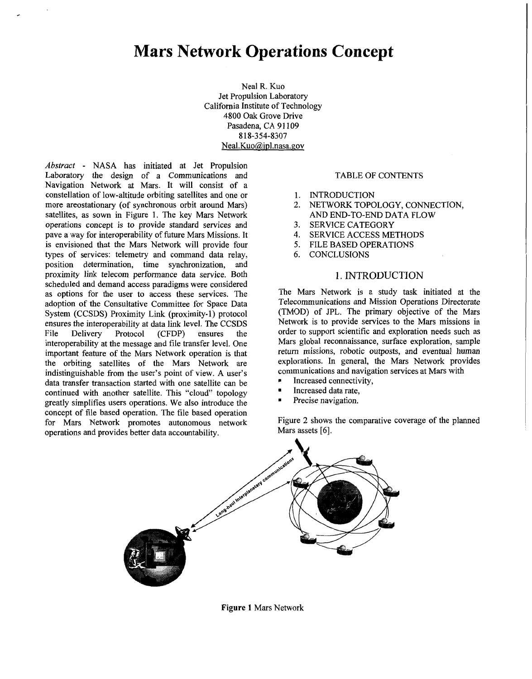Neal R. Kuo Jet Propulsion Laboratory California Institute of Technology 4800 *Oak* Grove Drive Pasadena, CA 91109 Neal.Kuo@jpl.nasa.gov **8** 18-354-8307

*Abstract* - NASA has initiated at Jet Propulsion Laboratory the design of a Communications and Navigation Network at Mars. It will consist of a constellation of low-altitude orbiting satellites and one or more areostationary (of synchronous orbit around Mars) satellites, as sown in Figure 1. The key Mars Network operations concept is to provide standard services and pave a way for interoperability of future Mars Missions. It is envisioned that the Mars Network will provide four types of services: telemetry and command data relay, position determination, time synchronization, and proximity link telecom performance data service. Both scheduled and demand access paradigms were considered as options for the user to access these services. The adoption of the Consultative Committee for Space Data System (CCSDS) Proximity Link (proximity-1) protocol ensures the interoperability at data link level. The CCSDS<br>File Delivery Protocol (CFDP) ensures the Delivery Protocol (CFDP) interoperability at the message and file transfer level. One important feature **of** the Mars Network operation is that the orbiting satellites of the Mars Network are indistinguishable from the user's point of view. A user's data transfer transaction started with one satellite can be continued with another satellite. This "cloud" topology greatly simpIifies users operations. We also introduce the concept of file based operation. The file based operation for Mars Network promotes autonomous network operations and provides better data accountability.

### TABLE OF CONTENTS

- 1. INTRODUCTION<br>2. NETWORK TOPO
- NETWORK TOPOLOGY, CONNECTION, AND END-TO-END DATA FLOW
- **3.** SERVICE CATEGORY
- 4. SERVICE ACCESS METHODS
- 5. FILE BASED OPERATIONS
- *6.* CONCLUSIONS

## **1.** INTRODUCTION

The Mars Network is a study task initiated at the Telecommunications and Mission Operations Directorate (TMOD) of JPL. The primary objective of the Mars Network is to provide services to the Mars missions in order to support scientific and exploration needs such as Mars global reconnaissance, surface exploration, sample return missions, robotic outposts, and eventual human explorations. In general, the Mars Network provides communications and navigation services at Mars with . Increased connectivity,

- Increased connectivity,<br>• Increased data rate,<br>• Precise navigation.
- Increased data rate,
- 

[Figure](#page-1-0) 2 shows the comparative coverage of the planned Mars assets *[6].* 



**Figure 1** Mars Network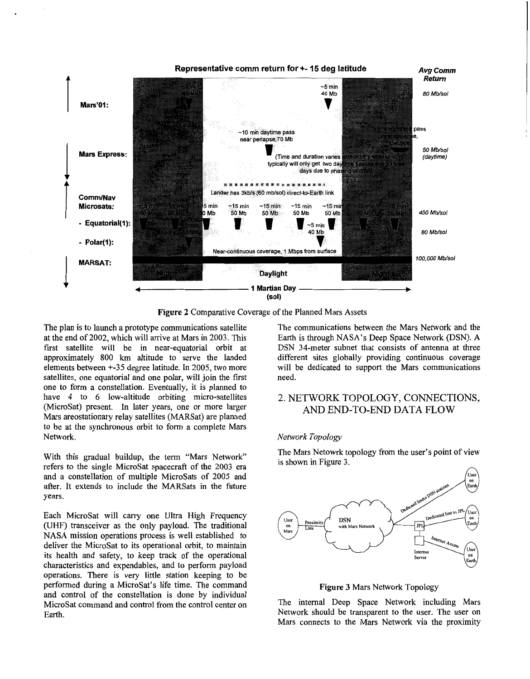<span id="page-1-0"></span>

**Figure 2** Comparative Coverage of the Planned Mars Assets

The plan is to launch a prototype communications satellite at the end of 2002, which will arrive at Mars in 2003. This first satellite will be in near-equatorial orbit at approximately 800 km altitude to serve the landed elements between **+-35** degree latitude. In 2005, two more satellites, one equatorial and one polar, will join the first one to form a constellation. Eventually, it is planned to have 4 to *6* low-altitude orbiting micro-satellites (Microsat) present. In later years, one or more larger Mars areostationary relay satellites (MARSat) are planned to be at the synchronous orbit to form a complete Mars Network.

With this gradual buildup, the term "Mars Network" refers to the single MicroSat spacecraft of the 2003 era and a constellation of multiple MicroSats of 2005 and after. It extends to include the MARSats in the future years.

Each MicroSat will carry one Ultra High Frequency (UHF) transceiver as the only payload. The traditional NASA mission operations process is well established to deliver the MicroSat to its operational orbit, to maintain its health and safety, to keep track of the operational characteristics and expendables, and to perform payload operations. There is very little station keeping to be performed during a Microsat's life time. The command and control of the constellation is done by individual MicroSat command and control from the control center on Earth.

The communications between the Mars Network and the Earth is through NASA's Deep Space Network (DSN). A DSN 34-meter subnet that consists of antenna at three different sites globally providing continuous coverage will be dedicated to support the Mars communications need.

# 2. NETWORK TOPOLOGY, CONNECTIONS, AND END-TO-END DATA FLOW

### *Network Topology*

The Mars Netowrk topology from the user's point of view is shown in Figure 3.



**Figure 3** Mars Network Topology

The internal Deep Space Network including Mars Network should be transparent to the user. The user on Mars connects to the Mars Network via the proximity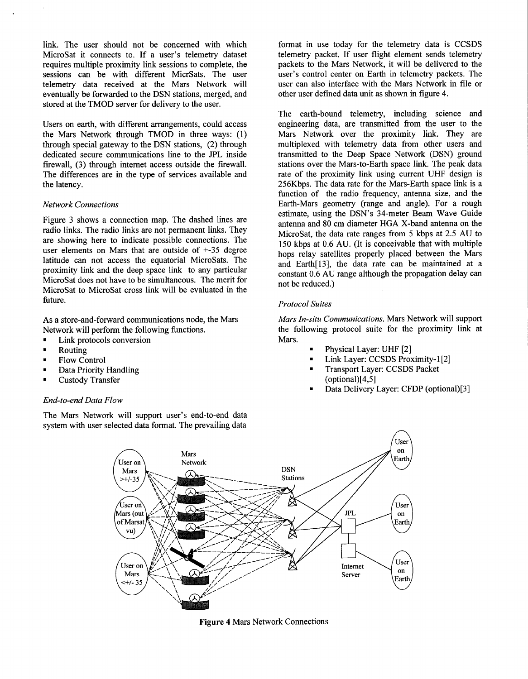link. The user should not be concerned with which MicroSat it connects to. If a user's telemetry dataset requires multiple proximity link sessions to complete, the sessions can be with different MicrSats. The user telemetry data received at the Mars Network will eventually be forwarded to the DSN stations, merged, and stored at the TMOD server for delivery to the user.

Users on earth, with different arrangements, could access the Mars Network through TMOD in three ways: (1) through special gateway to the DSN stations, (2) through dedicated secure communications line to the JPL inside firewall, (3) through internet access outside the firewall. The differences are in the type of services available and the latency.

#### *Network Connections*

[Figure 3](#page-1-0) shows a connection map. The dashed lines are radio links. The radio links are not permanent links. They are showing here to indicate possible connections. The user elements on Mars that are outside of  $+35$  degree latitude can not access the equatorial MicroSats. The proximity link and the deep space link to any particular MicroSat does not have to be simultaneous. The merit for MicroSat to MicroSat cross link will be evaluated in the future.

**As** a store-and-forward communications node, the Mars Network will perform the following functions.<br>
Ink protocols conversion

- Link protocols conversion<br>Routing<br>Row Control
- 
- . Flow Control
- Flow Control<br>• Data Priority Handling • Data Priority Hand<br>• Custody Transfer
- 

#### *End-to-end Data Flow*

The Mars Network will support user's end-to-end data system with user selected data format. The prevailing data format in use today for the telemetry data is CCSDS telemetry packet. If user flight element sends telemetry packets to the Mars Network, it will be delivered to the user's control center on Earth in telemetry packets. The user can also interface with the Mars Network in file or other user defined data unit as shown in figure 4.

The earth-bound telemetry, including science and engineering data, are transmitted from the user to the Mars Network over the proximity link. They are multiplexed with telemetry data from other users and transmitted to the Deep Space Network (DSN) ground stations over the Mars-to-Earth space link. The peak data rate of the proximity link using current **UHF** design is 256Kbps. The data rate for the Mars-Earth space link is a function of the radio frequency, antenna size, and the Earth-Mars geometry (range and angle). For a rough estimate, using the DSN's 34-meter Beam Wave Guide antenna and **80** cm diameter **HGA** X-band antenna on the MicroSat, the data rate ranges from 5 kbps at 2.5 **AU** to 150 kbps at 0.6 **AU.** (It is conceivable that with multiple hops relay satellites properly placed between the Mars and Earth[l3], the data rate can be maintained at a constant 0.6 **AU** range although the propagation delay can not be reduced.)

#### *Protocol Suites*

*Mars In-situ Communications.* Mars Network will support the following protocol suite for the proximity link at Mars.

- . Physical Layer: **UHF [2]**
- Physical Layer: UHF [2]<br>• Link Layer: CCSDS Proximity-1 [2]
- Link Layer: CCSDS Proximity-1<br>Transport Layer: CCSDS Packet Transport Layer: CCSDS Packet<br>(optional)[4,5]<br>Data Delivery Layer: CFDP (optional)[3] (optional)[4,5]
- 



**Figure 4** Mars Network Connections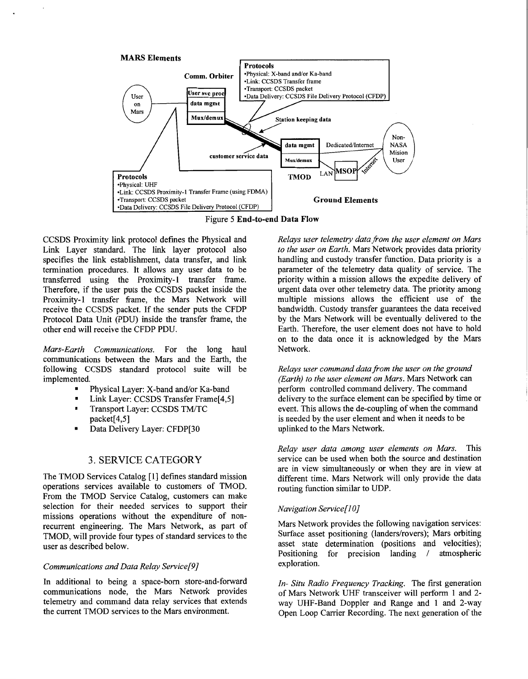

Figure 5 End-to-end Data Flow

CCSDS Proximity link protocol defines the Physical and Link Layer standard. The link layer protocol also specifies the link establishment, data transfer, and link termination procedures. It allows any user data to be transferred using the Proximity-1 transfer frame. Therefore, if the user puts the CCSDS packet inside the Proximity-1 transfer frame, the Mars Network will receive the CCSDS packet. If the sender puts the CFDP Protocol Data Unit (PDU) inside the transfer frame, the other end will receive the CFDP PDU.

*Mars-Earth Communications.* For the long haul communications between the Mars and the Earth, the following CCSDS standard protocol suite will be implemented.

- . Physical Layer: X-band and/or Ka-band
- . Link Layer: CCSDS Transfer Frame[4,5]
- . Transport Layer: CCSDS TM/TC packet[4,5]
- Data Delivery Layer: CFDP[30

## **3.** SERVICE CATEGORY

The TMOD Services Catalog [1] defines standard mission operations services available to customers of TMOD. From the TMOD Service Catalog, customers can make selection for their needed services to support their missions operations without the expenditure of nonrecurrent engineering. The Mars Network, as part of TMOD, will provide four types of standard services to the user as described below.

### *Communications and Data Relay Service[9]*

In additional to being a space-born store-and-forward communications node, the Mars Network provides telemetry and command data relay services that extends the current TMOD services to the Mars environment.

*Relays user telemetry datafiom the user element on Mars to the user on Earth.* Mars Network provides data priority handling and custody transfer function. Data priority is a parameter of the telemetry data quality of service. The priority within a mission allows the expedite delivery of urgent data over other telemetry data. The priority among multiple missions allows the efficient use of the bandwidth. Custody transfer guarantees the data received by the Mars Network will be eventually delivered to the Earth. Therefore, the user element does not have to hold on to the data once it is acknowledged by the Mars Network.

*Relays user command datafiom the user on the ground (Earth) to the user element on Mars.* Mars Network can perform controlled command delivery. The command delivery to the surface element can be specified by time or event. This allows the de-coupling of when the command is needed by the user element and when it needs to be uplinked to the Mars Network.

*Relay user data among user elements on Mars.* This service can be used when both the source and destination are in view simultaneously or when they are in view at different time. Mars Network will only provide the data routing function similar to UDP.

### *Navigation Service[lO]*

Mars Network provides the following navigation services: Surface asset positioning (landers/rovers); Mars orbiting asset state determination (positions and velocities); Positioning for precision landing / atmospheric exploration.

*In- Situ Radio Frequency Tracking.* The first generation of Mars Network UHF transceiver will perform 1 and **2**  way UHF-Band Doppler and Range and 1 and 2-way Open Loop Carrier Recording. The next generation of the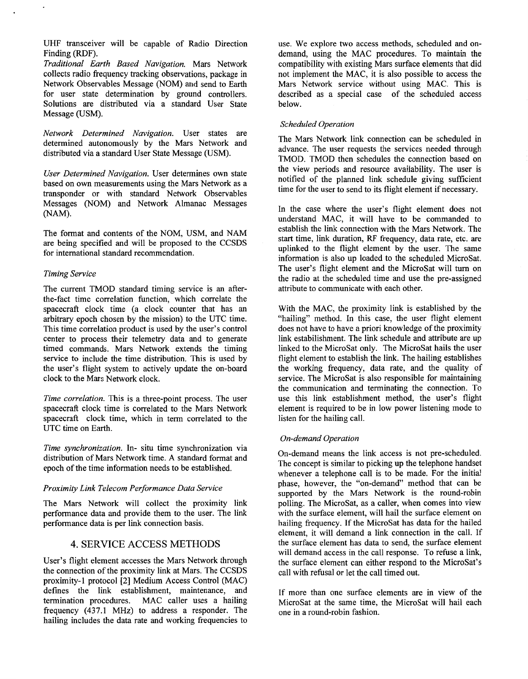UHF transceiver will be capable of Radio Direction Finding (RDF).

*Traditional Earth Based Navigation.* Mars Network collects radio frequency tracking observations, package in Network Observables Message (NOM) and send to Earth for user state determination by ground controllers. Solutions are distributed via a standard User State Message (USM).

*Network Determined Navigation.* User states are determined autonomously by the Mars Network and distributed via a standard User State Message (USM).

*User Determined Navigation.* User determines own state based on own measurements using the Mars Network as a transponder or with standard Network Observables Messages (NOM) and Network Almanac Messages (NAM).

The format and contents of the NOM, USM, and NAM are being specified and will be proposed to the CCSDS for international standard recommendation.

### *Timing Service*

The current TMOD standard timing service is an afterthe-fact time correlation function, which correlate the spacecraft clock time (a clock counter that has an arbitrary epoch chosen by the mission) to the UTC time. This time correlation product is used by the user's control center to process their telemetry data and to generate timed commands. Mars Network extends the timing service to include the time distribution. This is used by the user's flight system to actively update the on-board clock to the Mars Network clock.

*Time correlation.* This is a three-point process. The user spacecraft clock time is correlated to the Mars Network spacecraft clock time, which in term correlated to the UTC time on Earth.

*Time synchronization.* In- situ time synchronization via distribution of Mars Network time. A standard format and epoch of the time information needs to be established.

### *Proximity Link Telecom Performance Data Service*

The Mars Network will collect the proximity link performance data and provide them to the user. The link performance data is per link connection basis.

### 4. SERVICE ACCESS METHODS

User's flight element accesses the Mars Network through the connection of the proximity link at Mars. The CCSDS proximity-1 protocol [2] Medium Access Control (MAC) defines the link establishment, maintenance, and termination procedures. MAC caller uses a hailing frequency **(437.1** MHz) to address a responder. The hailing includes the data rate and working frequencies to use. We explore two access methods, scheduled and ondemand, using the MAC procedures. To maintain the compatibility with existing Mars surface elements that did not implement the MAC, it is also possible to access the Mars Network service without using MAC. This is described as a special case of the scheduled access below.

## *Scheduled Operation*

The Mars Network link connection can be scheduled in advance. The user requests the services needed through TMOD. TMOD then schedules the connection based on the view periods and resource availability. The user is notified of the planned link schedule giving sufficient time for the user to send to its flight element if necessary.

In the case where the user's flight element does not understand MAC, it will have to be commanded to establish the link connection with the Mars Network. The start time, link duration, RF frequency, data rate, etc. are uplinked to the flight element by the user. The same information is also up loaded to the scheduled MicroSat. The user's flight element and the MicroSat will turn on the radio at the scheduled time and use the pre-assigned attribute to communicate with each other.

With the MAC, the proximity link is established by the "hailing" method. In this case, the user flight element does not have to have a priori knowledge of the proximity link estabilishment. The link schedule and attribute are up linked to the MicroSat only. The MicroSat hails the user flight element to establish the link. The hailing establishes the working frequency, data rate, and the quality **of**  service. The MicroSat is also responsible for maintaining the communication and terminating the connection. To use this link establishment method, the user's flight element is required to be in low power listening mode to listen for the hailing call.

### *On-demand Operation*

On-demand means the link access is not pre-scheduled. The concept is similar to picking up the telephone handset whenever a telephone call is to be made. For the initial phase, however, the "on-demand" method that can be supported by the Mars Network is the round-robin polling. The MicroSat, as a caller, when comes into view with the surface element, will hail the surface element on hailing frequency. If the MicroSat has data for the hailed element, it will demand a link connection in the call. If the surface element has data to send, the surface element will demand access in the call response. To refuse a link, the surface element can either respond to the Microsat's call with refusal or let the call timed out.

If more than one surface elements are in view of the MicroSat at the same time, the MicroSat will hail each one in a round-robin fashion.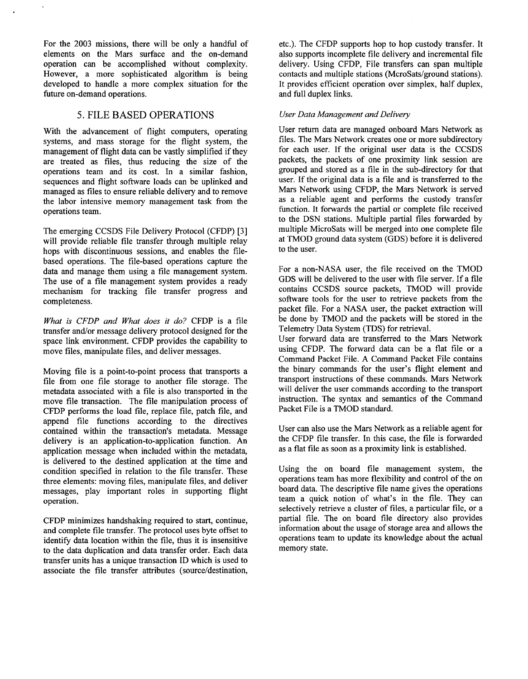For the 2003 missions, there will be only a handful of elements on the Mars surface and the on-demand operation can be accomplished without complexity. However, a more sophisticated algorithm is being developed to handle a more complex situation for the future on-demand operations.

## 5. FILE BASED OPERATIONS

With the advancement of flight computers, operating systems, and mass storage for the flight system, the management of flight data can be vastly simplified if they are treated as files, thus reducing the size of the operations team and its cost. In a similar fashion, sequences and flight software loads can be uplinked and managed as files to ensure reliable delivery and to remove the labor intensive memory management task from the operations team.

The emerging CCSDS File Delivery Protocol (CFDP) **[3]**  will provide reliable file transfer through multiple relay hops with discontinuous sessions, and enables the filebased operations. The file-based operations capture the data and manage them using a file management system. The use of a file management system provides a ready mechanism for tracking file transfer progress and completeness.

*What is CFDP and What does it do?* CFDP is a file transfer and/or message delivery protocol designed for the space link environment. CFDP provides the capability to move files, manipulate files, and deliver messages.

Moving file is a point-to-point process that transports a file from one file storage to another file storage. The metadata associated with a file is also transported in the move file transaction. The file manipulation process of CFDP performs the load file, replace file, patch file, and append file functions according to the directives contained within the transaction's metadata. Message delivery is an application-to-application function. An application message when included within the metadata, is delivered to the destined application at the time and condition specified in relation to the file transfer. These three elements: moving files, manipulate files, and deliver messages, play important roles in supporting flight operation.

CFDP minimizes handshaking required to start, continue, and complete file transfer. The protocol uses byte offset to identify data location within the file, thus it is insensitive to the data duplication and data transfer order. Each data transfer units has a unique transaction ID which is used to associate the file transfer attributes (source/destination, etc.). The CFDP supports hop to hop custody transfer. It also supports incomplete file delivery and incremental file delivery. Using CFDP, File transfers can span multiple contacts and multiple stations (McroSats/ground stations). It provides efficient operation over simplex, half duplex, and full duplex links.

#### *User Data Management and Delivery*

User return data are managed onboard Mars Network as files. The Mars Network creates one or more subdirectory for each user. If the original user data is the CCSDS packets, the packets of one proximity link session are grouped and stored as a file in the sub-directory for that user. If the original data is a file and is transferred to the Mars Network using CFDP, the Mars Network is served as a reliable agent and performs the custody transfer function. It forwards the partial or complete file received to the DSN stations. Multiple partial files forwarded by multiple MicroSats will be merged into one complete file at TMOD ground data system (GDS) before it is delivered to the user.

For a non-NASA user, the file received on the TMOD GDS will be delivered to the user with file server. If a file contains CCSDS source packets, TMOD will provide software tools for the user to retrieve packets from the packet file. For a NASA user, the packet extraction will be done by TMOD and the packets will be stored in the Telemetry Data System (TDS) for retrieval.

User forward data are transferred to the Mars Network using CFDP. The forward data can be a flat file or a Command Packet File. A Command Packet File contains the binary commands for the user's flight element and transport instructions of these commands. Mars Network will deliver the user commands according to the transport instruction. The syntax and semantics of the Command Packet File is a TMOD standard.

User can also use the Mars Network as a reliable agent for the CFDP file transfer. In this case, the file is forwarded as a flat file as soon as a proximity link is established.

Using the on board file management system, the operations team has more flexibility and control of the on board data. The descriptive file name gives the operations team a quick notion of what's in the file. They can selectively retrieve a cluster of files, a particular file, or a partial file. The on board file directory also provides information about the usage of storage area and allows the operations team to update its knowledge about the actual memory state.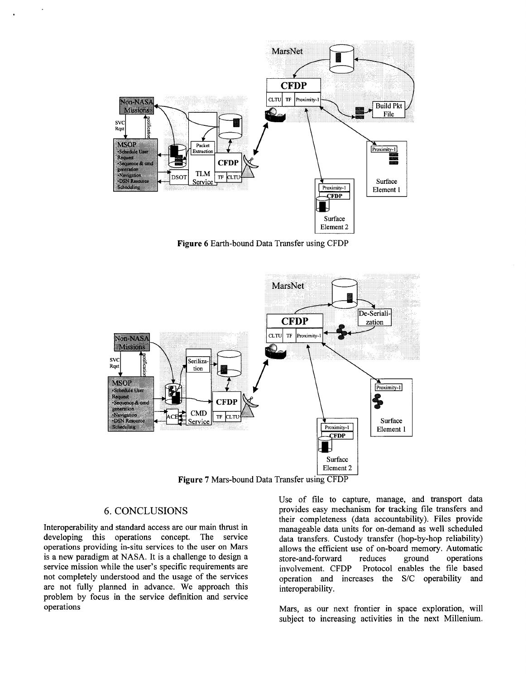

**Figure** *6* Earth-bound Data Transfer using CFDP



**Figure 7** Mars-bound Data Transfer using CFDP

# *6.* CONCLUSIONS

Interoperability and standard access are our main thrust in developing this operations concept. The service operations providing in-situ services to the user on Mars is a new paradigm at NASA. It is a challenge to design a service mission while the user's specific requirements are not completely understood and the usage of the services are not fully planned in advance. We approach this problem by focus in the service definition and service operations

Use of file to capture, manage, and transport data provides easy mechanism for tracking file transfers and their completeness (data accountability). Files provide manageable data units for on-demand as well scheduled data transfers. Custody transfer (hop-by-hop reliability) allows the efficient use of on-board memory. Automatic store-and-forward reduces ground operations involvement. CFDP Protocol enables the file based operation and increases the **S/C** operability and interoperability.

Mars, as our next frontier in space exploration, will subject to increasing activities in the next Millenium.